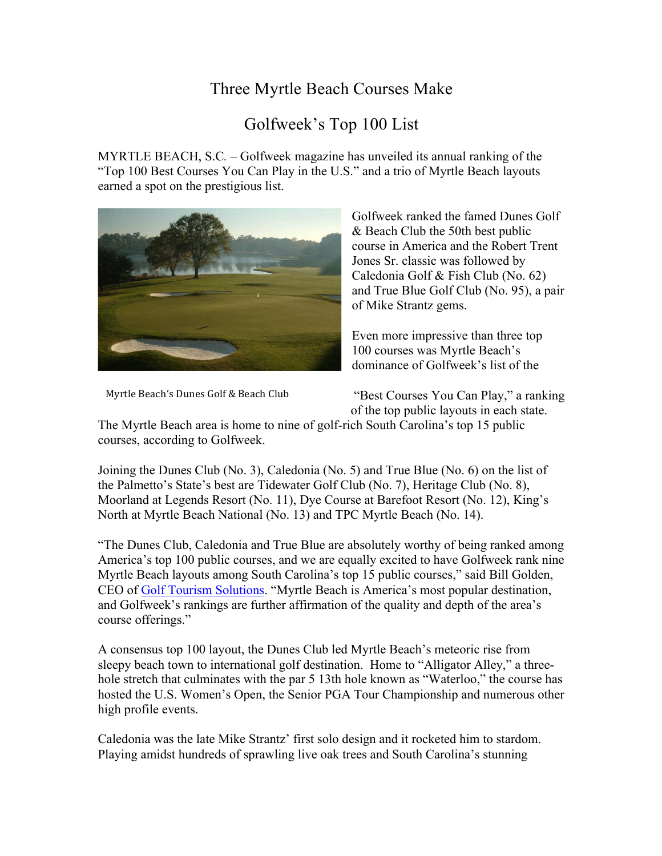## Three Myrtle Beach Courses Make

## Golfweek's Top 100 List

MYRTLE BEACH, S.C*.* – Golfweek magazine has unveiled its annual ranking of the "Top 100 Best Courses You Can Play in the U.S." and a trio of Myrtle Beach layouts earned a spot on the prestigious list.



Golfweek ranked the famed Dunes Golf & Beach Club the 50th best public course in America and the Robert Trent Jones Sr. classic was followed by Caledonia Golf & Fish Club (No. 62) and True Blue Golf Club (No. 95), a pair of Mike Strantz gems.

Even more impressive than three top 100 courses was Myrtle Beach's dominance of Golfweek's list of the

Myrtle Beach's Dunes Golf & Beach Club

"Best Courses You Can Play," a ranking of the top public layouts in each state.

The Myrtle Beach area is home to nine of golf-rich South Carolina's top 15 public courses, according to Golfweek.

Joining the Dunes Club (No. 3), Caledonia (No. 5) and True Blue (No. 6) on the list of the Palmetto's State's best are Tidewater Golf Club (No. 7), Heritage Club (No. 8), Moorland at Legends Resort (No. 11), Dye Course at Barefoot Resort (No. 12), King's North at Myrtle Beach National (No. 13) and TPC Myrtle Beach (No. 14).

"The Dunes Club, Caledonia and True Blue are absolutely worthy of being ranked among America's top 100 public courses, and we are equally excited to have Golfweek rank nine Myrtle Beach layouts among South Carolina's top 15 public courses," said Bill Golden, CEO of Golf Tourism Solutions. "Myrtle Beach is America's most popular destination, and Golfweek's rankings are further affirmation of the quality and depth of the area's course offerings."

A consensus top 100 layout, the Dunes Club led Myrtle Beach's meteoric rise from sleepy beach town to international golf destination. Home to "Alligator Alley," a threehole stretch that culminates with the par 5 13th hole known as "Waterloo," the course has hosted the U.S. Women's Open, the Senior PGA Tour Championship and numerous other high profile events.

Caledonia was the late Mike Strantz' first solo design and it rocketed him to stardom. Playing amidst hundreds of sprawling live oak trees and South Carolina's stunning